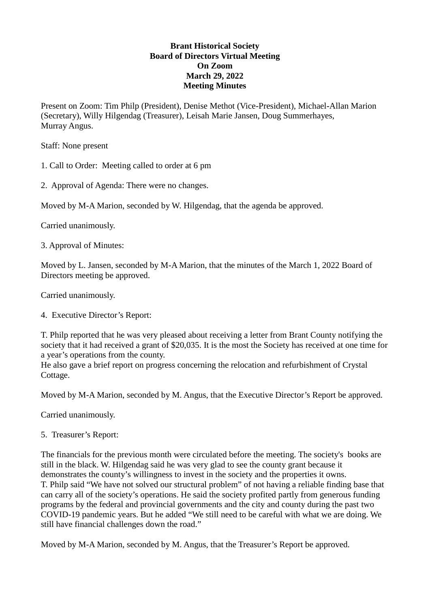## **Brant Historical Society Board of Directors Virtual Meeting On Zoom March 29, 2022 Meeting Minutes**

Present on Zoom: Tim Philp (President), Denise Methot (Vice-President), Michael-Allan Marion (Secretary), Willy Hilgendag (Treasurer), Leisah Marie Jansen, Doug Summerhayes, Murray Angus.

Staff: None present

1. Call to Order: Meeting called to order at 6 pm

2. Approval of Agenda: There were no changes.

Moved by M-A Marion, seconded by W. Hilgendag, that the agenda be approved.

Carried unanimously.

3. Approval of Minutes:

Moved by L. Jansen, seconded by M-A Marion, that the minutes of the March 1, 2022 Board of Directors meeting be approved.

Carried unanimously.

4. Executive Director's Report:

T. Philp reported that he was very pleased about receiving a letter from Brant County notifying the society that it had received a grant of \$20,035. It is the most the Society has received at one time for a year's operations from the county.

He also gave a brief report on progress concerning the relocation and refurbishment of Crystal Cottage.

Moved by M-A Marion, seconded by M. Angus, that the Executive Director's Report be approved.

Carried unanimously.

5. Treasurer's Report:

The financials for the previous month were circulated before the meeting. The society's books are still in the black. W. Hilgendag said he was very glad to see the county grant because it demonstrates the county's willingness to invest in the society and the properties it owns. T. Philp said "We have not solved our structural problem" of not having a reliable finding base that can carry all of the society's operations. He said the society profited partly from generous funding programs by the federal and provincial governments and the city and county during the past two COVID-19 pandemic years. But he added "We still need to be careful with what we are doing. We still have financial challenges down the road."

Moved by M-A Marion, seconded by M. Angus, that the Treasurer's Report be approved.